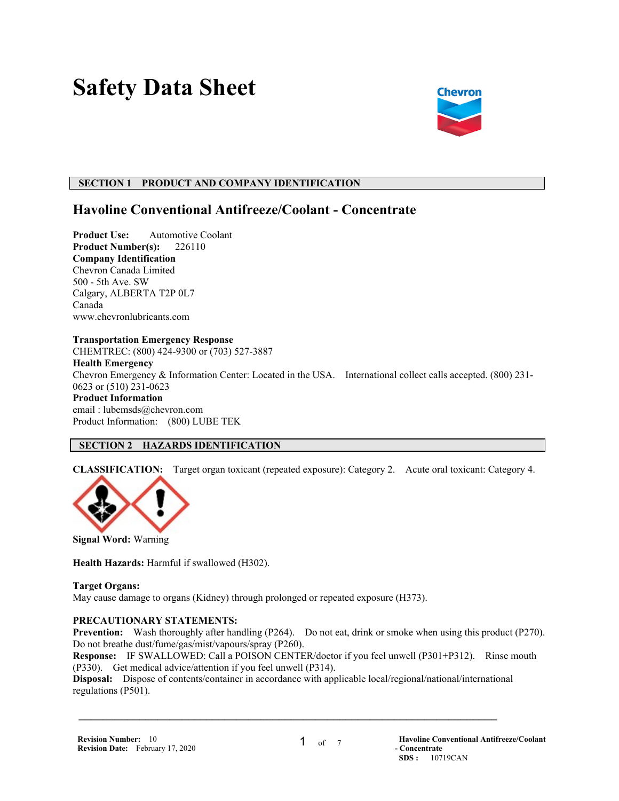# **Safety Data Sheet**



# **SECTION 1 PRODUCT AND COMPANY IDENTIFICATION**

# **Havoline Conventional Antifreeze/Coolant - Concentrate**

**Product Use:** Automotive Coolant **Product Number(s):** 226110 **Company Identification** Chevron Canada Limited 500 - 5th Ave. SW Calgary, ALBERTA T2P 0L7 Canada www.chevronlubricants.com

#### **Transportation Emergency Response**

CHEMTREC: (800) 424-9300 or (703) 527-3887

#### **Health Emergency**

Chevron Emergency & Information Center: Located in the USA. International collect calls accepted. (800) 231- 0623 or (510) 231-0623

#### **Product Information**

email : lubemsds@chevron.com Product Information: (800) LUBE TEK

# **SECTION 2 HAZARDS IDENTIFICATION**

**CLASSIFICATION:** Target organ toxicant (repeated exposure): Category 2. Acute oral toxicant: Category 4.



**Signal Word:** Warning

**Health Hazards:** Harmful if swallowed (H302).

**Target Organs:** 

May cause damage to organs (Kidney) through prolonged or repeated exposure (H373).

# **PRECAUTIONARY STATEMENTS:**

**Prevention:** Wash thoroughly after handling (P264). Do not eat, drink or smoke when using this product (P270). Do not breathe dust/fume/gas/mist/vapours/spray (P260).

**Response:** IF SWALLOWED: Call a POISON CENTER/doctor if you feel unwell (P301+P312). Rinse mouth (P330). Get medical advice/attention if you feel unwell (P314).

**Disposal:** Dispose of contents/container in accordance with applicable local/regional/national/international regulations (P501).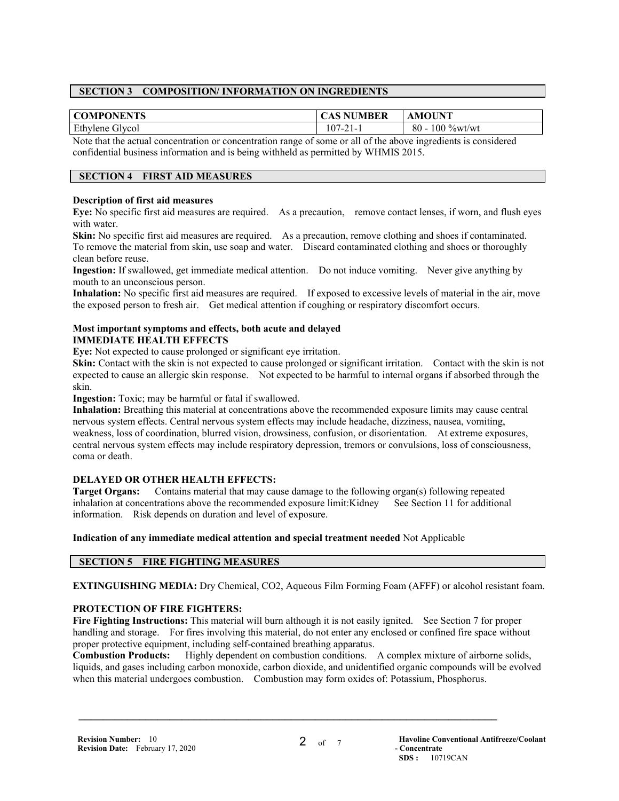# **SECTION 3 COMPOSITION/ INFORMATION ON INGREDIENTS**

| <b>COMPONENTS</b>  | CAS NUMBER                                  | AMOUNT                  |
|--------------------|---------------------------------------------|-------------------------|
| Ethylene<br>Givcol | 107<br>$\sim$ 1<br>$\prime - \prime$<br>. . | $100\%$ wt/wt<br>$80 -$ |
| .<br>$\sim$        | .                                           | . .                     |

Note that the actual concentration or concentration range of some or all of the above ingredients is considered confidential business information and is being withheld as permitted by WHMIS 2015.

#### **SECTION 4 FIRST AID MEASURES**

#### **Description of first aid measures**

**Eye:** No specific first aid measures are required. As a precaution, remove contact lenses, if worn, and flush eyes with water.

**Skin:** No specific first aid measures are required. As a precaution, remove clothing and shoes if contaminated. To remove the material from skin, use soap and water. Discard contaminated clothing and shoes or thoroughly clean before reuse.

**Ingestion:** If swallowed, get immediate medical attention. Do not induce vomiting. Never give anything by mouth to an unconscious person.

**Inhalation:** No specific first aid measures are required. If exposed to excessive levels of material in the air, move the exposed person to fresh air. Get medical attention if coughing or respiratory discomfort occurs.

#### **Most important symptoms and effects, both acute and delayed IMMEDIATE HEALTH EFFECTS**

**Eye:** Not expected to cause prolonged or significant eye irritation.

**Skin:** Contact with the skin is not expected to cause prolonged or significant irritation. Contact with the skin is not expected to cause an allergic skin response. Not expected to be harmful to internal organs if absorbed through the skin.

**Ingestion:** Toxic; may be harmful or fatal if swallowed.

**Inhalation:** Breathing this material at concentrations above the recommended exposure limits may cause central nervous system effects. Central nervous system effects may include headache, dizziness, nausea, vomiting, weakness, loss of coordination, blurred vision, drowsiness, confusion, or disorientation. At extreme exposures, central nervous system effects may include respiratory depression, tremors or convulsions, loss of consciousness, coma or death.

#### **DELAYED OR OTHER HEALTH EFFECTS:**

**Target Organs:** Contains material that may cause damage to the following organ(s) following repeated inhalation at concentrations above the recommended exposure limit:Kidney See Section 11 for additional information. Risk depends on duration and level of exposure.

**Indication of any immediate medical attention and special treatment needed** Not Applicable

# **SECTION 5 FIRE FIGHTING MEASURES**

**EXTINGUISHING MEDIA:** Dry Chemical, CO2, Aqueous Film Forming Foam (AFFF) or alcohol resistant foam.

# **PROTECTION OF FIRE FIGHTERS:**

**Fire Fighting Instructions:** This material will burn although it is not easily ignited. See Section 7 for proper handling and storage. For fires involving this material, do not enter any enclosed or confined fire space without proper protective equipment, including self-contained breathing apparatus.

**Combustion Products:** Highly dependent on combustion conditions. A complex mixture of airborne solids, liquids, and gases including carbon monoxide, carbon dioxide, and unidentified organic compounds will be evolved when this material undergoes combustion. Combustion may form oxides of: Potassium, Phosphorus.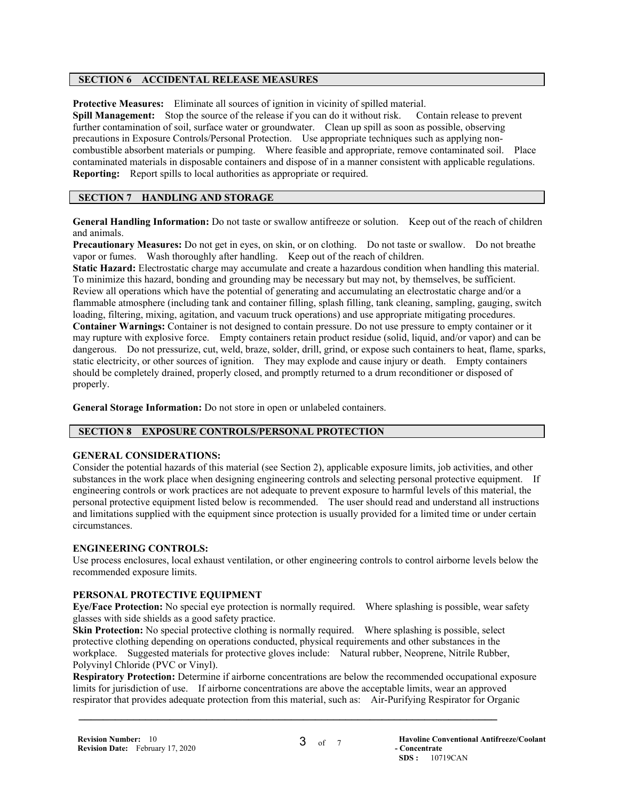#### **SECTION 6 ACCIDENTAL RELEASE MEASURES**

**Protective Measures:** Eliminate all sources of ignition in vicinity of spilled material.

**Spill Management:** Stop the source of the release if you can do it without risk. Contain release to prevent further contamination of soil, surface water or groundwater. Clean up spill as soon as possible, observing precautions in Exposure Controls/Personal Protection. Use appropriate techniques such as applying noncombustible absorbent materials or pumping. Where feasible and appropriate, remove contaminated soil. Place contaminated materials in disposable containers and dispose of in a manner consistent with applicable regulations. **Reporting:** Report spills to local authorities as appropriate or required.

#### **SECTION 7 HANDLING AND STORAGE**

**General Handling Information:** Do not taste or swallow antifreeze or solution. Keep out of the reach of children and animals.

**Precautionary Measures:** Do not get in eyes, on skin, or on clothing. Do not taste or swallow. Do not breathe vapor or fumes. Wash thoroughly after handling. Keep out of the reach of children.

**Static Hazard:** Electrostatic charge may accumulate and create a hazardous condition when handling this material. To minimize this hazard, bonding and grounding may be necessary but may not, by themselves, be sufficient. Review all operations which have the potential of generating and accumulating an electrostatic charge and/or a flammable atmosphere (including tank and container filling, splash filling, tank cleaning, sampling, gauging, switch loading, filtering, mixing, agitation, and vacuum truck operations) and use appropriate mitigating procedures. **Container Warnings:** Container is not designed to contain pressure. Do not use pressure to empty container or it may rupture with explosive force. Empty containers retain product residue (solid, liquid, and/or vapor) and can be dangerous. Do not pressurize, cut, weld, braze, solder, drill, grind, or expose such containers to heat, flame, sparks, static electricity, or other sources of ignition. They may explode and cause injury or death. Empty containers should be completely drained, properly closed, and promptly returned to a drum reconditioner or disposed of properly.

**General Storage Information:** Do not store in open or unlabeled containers.

# **SECTION 8 EXPOSURE CONTROLS/PERSONAL PROTECTION**

#### **GENERAL CONSIDERATIONS:**

Consider the potential hazards of this material (see Section 2), applicable exposure limits, job activities, and other substances in the work place when designing engineering controls and selecting personal protective equipment. If engineering controls or work practices are not adequate to prevent exposure to harmful levels of this material, the personal protective equipment listed below is recommended. The user should read and understand all instructions and limitations supplied with the equipment since protection is usually provided for a limited time or under certain circumstances.

#### **ENGINEERING CONTROLS:**

Use process enclosures, local exhaust ventilation, or other engineering controls to control airborne levels below the recommended exposure limits.

#### **PERSONAL PROTECTIVE EQUIPMENT**

**Eye/Face Protection:** No special eye protection is normally required. Where splashing is possible, wear safety glasses with side shields as a good safety practice.

**Skin Protection:** No special protective clothing is normally required. Where splashing is possible, select protective clothing depending on operations conducted, physical requirements and other substances in the workplace. Suggested materials for protective gloves include: Natural rubber, Neoprene, Nitrile Rubber, Polyvinyl Chloride (PVC or Vinyl).

 $\mathcal{L} = \{ \mathcal{L} \mathcal{L} \mathcal{L} \mathcal{L} \mathcal{L} \mathcal{L} \mathcal{L} \mathcal{L} \mathcal{L} \mathcal{L} \mathcal{L} \mathcal{L} \mathcal{L} \mathcal{L} \mathcal{L} \mathcal{L} \mathcal{L} \mathcal{L} \mathcal{L} \mathcal{L} \mathcal{L} \mathcal{L} \mathcal{L} \mathcal{L} \mathcal{L} \mathcal{L} \mathcal{L} \mathcal{L} \mathcal{L} \mathcal{L} \mathcal{L} \mathcal{L} \mathcal{L} \mathcal{L} \mathcal{L} \$ 

**Respiratory Protection:** Determine if airborne concentrations are below the recommended occupational exposure limits for jurisdiction of use. If airborne concentrations are above the acceptable limits, wear an approved respirator that provides adequate protection from this material, such as: Air-Purifying Respirator for Organic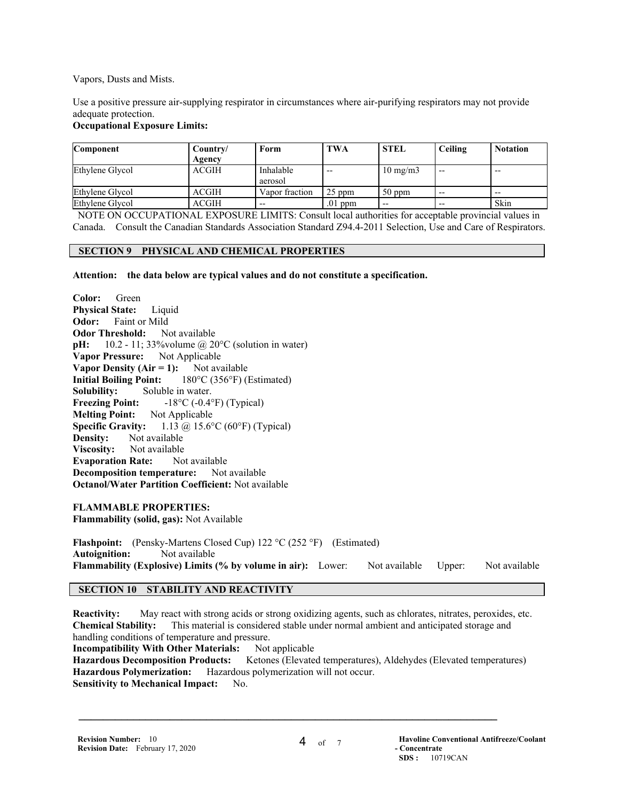Vapors, Dusts and Mists.

Use a positive pressure air-supplying respirator in circumstances where air-purifying respirators may not provide adequate protection.

#### **Occupational Exposure Limits:**

| <b>Component</b> | Country/     | Form                 | TWA       | <b>STEL</b>       | Ceiling | <b>Notation</b> |
|------------------|--------------|----------------------|-----------|-------------------|---------|-----------------|
|                  | Agency       |                      |           |                   |         |                 |
| Ethylene Glycol  | <b>ACGIH</b> | Inhalable<br>aerosol | $- -$     | $10 \text{ mg/m}$ | $- -$   | $- -$           |
| Ethylene Glycol  | ACGIH        | Vapor fraction       | $25$ ppm  | $50$ ppm          | $- -$   | $- -$           |
| Ethylene Glycol  | ACGIH        | $- -$                | $.01$ ppm | $- -$             | $- -$   | Skin            |

 NOTE ON OCCUPATIONAL EXPOSURE LIMITS: Consult local authorities for acceptable provincial values in Canada. Consult the Canadian Standards Association Standard Z94.4-2011 Selection, Use and Care of Respirators.

#### **SECTION 9 PHYSICAL AND CHEMICAL PROPERTIES**

**Attention: the data below are typical values and do not constitute a specification.**

**Color:** Green **Physical State:** Liquid **Odor:** Faint or Mild **Odor Threshold:** Not available **pH:** 10.2 - 11; 33%volume @ 20°C (solution in water) **Vapor Pressure:** Not Applicable **Vapor Density (Air = 1):** Not available **Initial Boiling Point:** 180°C (356°F) (Estimated) **Solubility:** Soluble in water. **Freezing Point:**  $-18^{\circ}C (-0.4^{\circ}F)$  (Typical) **Melting Point:** Not Applicable **Specific Gravity:** 1.13 @ 15.6°C (60°F) (Typical) **Density:** Not available **Viscosity:** Not available **Evaporation Rate:** Not available **Decomposition temperature:** Not available **Octanol/Water Partition Coefficient:** Not available

#### **FLAMMABLE PROPERTIES:**

**Flammability (solid, gas):** Not Available

Flashpoint: (Pensky-Martens Closed Cup) 122 °C (252 °F) (Estimated) **Autoignition:** Not available **Flammability (Explosive) Limits (% by volume in air):** Lower: Not available Upper: Not available

#### **SECTION 10 STABILITY AND REACTIVITY**

**Reactivity:** May react with strong acids or strong oxidizing agents, such as chlorates, nitrates, peroxides, etc. **Chemical Stability:** This material is considered stable under normal ambient and anticipated storage and handling conditions of temperature and pressure.

**Incompatibility With Other Materials:** Not applicable **Hazardous Decomposition Products:** Ketones (Elevated temperatures), Aldehydes (Elevated temperatures) **Hazardous Polymerization:** Hazardous polymerization will not occur. **Sensitivity to Mechanical Impact:** No.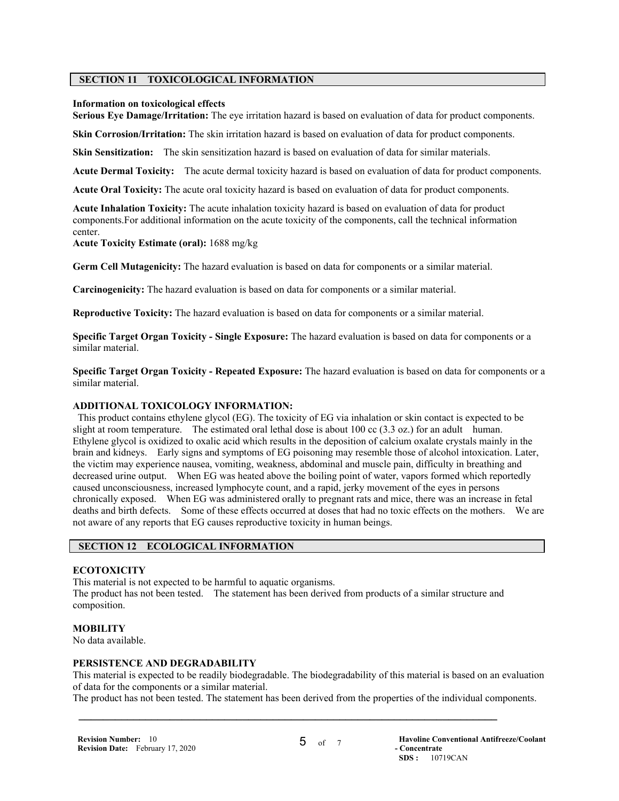#### **SECTION 11 TOXICOLOGICAL INFORMATION**

#### **Information on toxicological effects**

**Serious Eye Damage/Irritation:** The eye irritation hazard is based on evaluation of data for product components.

**Skin Corrosion/Irritation:** The skin irritation hazard is based on evaluation of data for product components.

**Skin Sensitization:** The skin sensitization hazard is based on evaluation of data for similar materials.

**Acute Dermal Toxicity:** The acute dermal toxicity hazard is based on evaluation of data for product components.

**Acute Oral Toxicity:** The acute oral toxicity hazard is based on evaluation of data for product components.

**Acute Inhalation Toxicity:** The acute inhalation toxicity hazard is based on evaluation of data for product components.For additional information on the acute toxicity of the components, call the technical information center.

**Acute Toxicity Estimate (oral):** 1688 mg/kg

**Germ Cell Mutagenicity:** The hazard evaluation is based on data for components or a similar material.

**Carcinogenicity:** The hazard evaluation is based on data for components or a similar material.

**Reproductive Toxicity:** The hazard evaluation is based on data for components or a similar material.

**Specific Target Organ Toxicity - Single Exposure:** The hazard evaluation is based on data for components or a similar material.

**Specific Target Organ Toxicity - Repeated Exposure:** The hazard evaluation is based on data for components or a similar material.

#### **ADDITIONAL TOXICOLOGY INFORMATION:**

 This product contains ethylene glycol (EG). The toxicity of EG via inhalation or skin contact is expected to be slight at room temperature. The estimated oral lethal dose is about 100 cc (3.3 oz.) for an adult human. Ethylene glycol is oxidized to oxalic acid which results in the deposition of calcium oxalate crystals mainly in the brain and kidneys. Early signs and symptoms of EG poisoning may resemble those of alcohol intoxication. Later, the victim may experience nausea, vomiting, weakness, abdominal and muscle pain, difficulty in breathing and decreased urine output. When EG was heated above the boiling point of water, vapors formed which reportedly caused unconsciousness, increased lymphocyte count, and a rapid, jerky movement of the eyes in persons chronically exposed. When EG was administered orally to pregnant rats and mice, there was an increase in fetal deaths and birth defects. Some of these effects occurred at doses that had no toxic effects on the mothers. We are not aware of any reports that EG causes reproductive toxicity in human beings.

# **SECTION 12 ECOLOGICAL INFORMATION**

#### **ECOTOXICITY**

This material is not expected to be harmful to aquatic organisms. The product has not been tested. The statement has been derived from products of a similar structure and composition.

#### **MOBILITY**

No data available.

#### **PERSISTENCE AND DEGRADABILITY**

This material is expected to be readily biodegradable. The biodegradability of this material is based on an evaluation of data for the components or a similar material.

The product has not been tested. The statement has been derived from the properties of the individual components.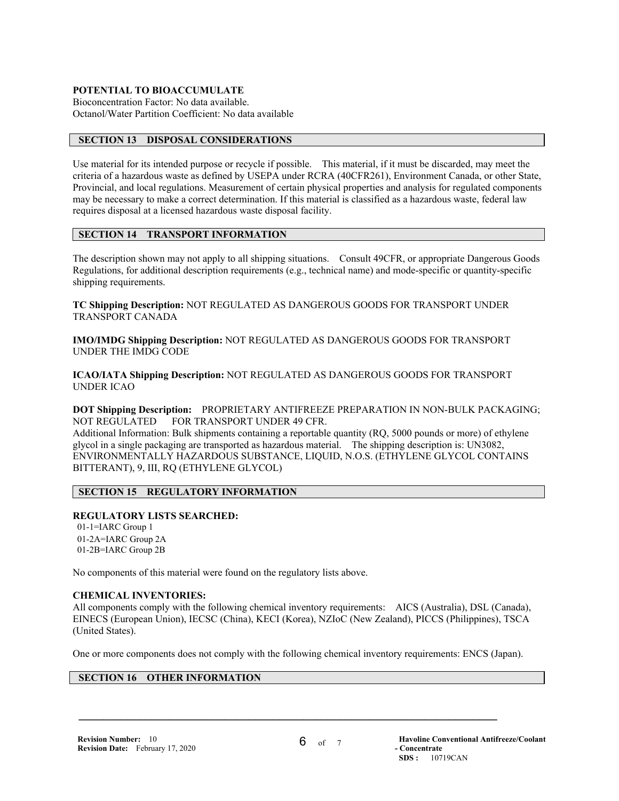#### **POTENTIAL TO BIOACCUMULATE**

Bioconcentration Factor: No data available. Octanol/Water Partition Coefficient: No data available

## **SECTION 13 DISPOSAL CONSIDERATIONS**

Use material for its intended purpose or recycle if possible. This material, if it must be discarded, may meet the criteria of a hazardous waste as defined by USEPA under RCRA (40CFR261), Environment Canada, or other State, Provincial, and local regulations. Measurement of certain physical properties and analysis for regulated components may be necessary to make a correct determination. If this material is classified as a hazardous waste, federal law requires disposal at a licensed hazardous waste disposal facility.

#### **SECTION 14 TRANSPORT INFORMATION**

The description shown may not apply to all shipping situations. Consult 49CFR, or appropriate Dangerous Goods Regulations, for additional description requirements (e.g., technical name) and mode-specific or quantity-specific shipping requirements.

**TC Shipping Description:** NOT REGULATED AS DANGEROUS GOODS FOR TRANSPORT UNDER TRANSPORT CANADA

**IMO/IMDG Shipping Description:** NOT REGULATED AS DANGEROUS GOODS FOR TRANSPORT UNDER THE IMDG CODE

**ICAO/IATA Shipping Description:** NOT REGULATED AS DANGEROUS GOODS FOR TRANSPORT UNDER ICAO

**DOT Shipping Description:** PROPRIETARY ANTIFREEZE PREPARATION IN NON-BULK PACKAGING; NOT REGULATED FOR TRANSPORT UNDER 49 CFR.

Additional Information: Bulk shipments containing a reportable quantity (RQ, 5000 pounds or more) of ethylene glycol in a single packaging are transported as hazardous material. The shipping description is: UN3082, ENVIRONMENTALLY HAZARDOUS SUBSTANCE, LIQUID, N.O.S. (ETHYLENE GLYCOL CONTAINS BITTERANT), 9, III, RQ (ETHYLENE GLYCOL)

# **SECTION 15 REGULATORY INFORMATION**

# **REGULATORY LISTS SEARCHED:**

 01-1=IARC Group 1 01-2A=IARC Group 2A 01-2B=IARC Group 2B

No components of this material were found on the regulatory lists above.

#### **CHEMICAL INVENTORIES:**

All components comply with the following chemical inventory requirements: AICS (Australia), DSL (Canada), EINECS (European Union), IECSC (China), KECI (Korea), NZIoC (New Zealand), PICCS (Philippines), TSCA (United States).

One or more components does not comply with the following chemical inventory requirements: ENCS (Japan).

 $\mathcal{L} = \{ \mathcal{L} \mathcal{L} \mathcal{L} \mathcal{L} \mathcal{L} \mathcal{L} \mathcal{L} \mathcal{L} \mathcal{L} \mathcal{L} \mathcal{L} \mathcal{L} \mathcal{L} \mathcal{L} \mathcal{L} \mathcal{L} \mathcal{L} \mathcal{L} \mathcal{L} \mathcal{L} \mathcal{L} \mathcal{L} \mathcal{L} \mathcal{L} \mathcal{L} \mathcal{L} \mathcal{L} \mathcal{L} \mathcal{L} \mathcal{L} \mathcal{L} \mathcal{L} \mathcal{L} \mathcal{L} \mathcal{L} \$ 

# **SECTION 16 OTHER INFORMATION**